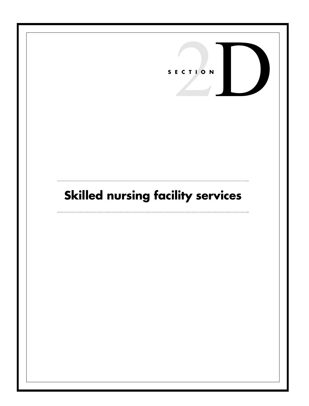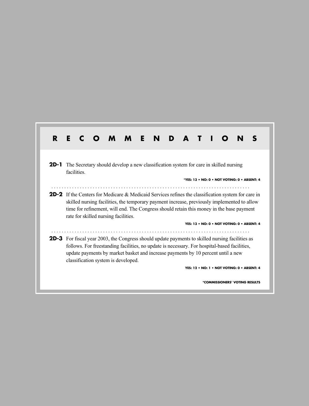| R      | Е<br>N                                                                                                                                                                                                                                                                                                                                                                                      |  |  |  |  |
|--------|---------------------------------------------------------------------------------------------------------------------------------------------------------------------------------------------------------------------------------------------------------------------------------------------------------------------------------------------------------------------------------------------|--|--|--|--|
| $2D-1$ | The Secretary should develop a new classification system for care in skilled nursing<br>facilities.<br>*YES: 13 • NO: 0 • NOT VOTING: 0 • ABSENT: 4                                                                                                                                                                                                                                         |  |  |  |  |
|        | <b>2D-2</b> If the Centers for Medicare & Medicaid Services refines the classification system for care in<br>skilled nursing facilities, the temporary payment increase, previously implemented to allow<br>time for refinement, will end. The Congress should retain this money in the base payment<br>rate for skilled nursing facilities.<br>YES: 13 . NO: 0 . NOT VOTING: 0 . ABSENT: 4 |  |  |  |  |
|        | <b>2D-3</b> For fiscal year 2003, the Congress should update payments to skilled nursing facilities as<br>follows. For freestanding facilities, no update is necessary. For hospital-based facilities,<br>update payments by market basket and increase payments by 10 percent until a new<br>classification system is developed.<br>YES: 12 • NO: 1 • NOT VOTING: 0 • ABSENT: 4            |  |  |  |  |
|        | *COMMISSIONERS' VOTING RESULTS                                                                                                                                                                                                                                                                                                                                                              |  |  |  |  |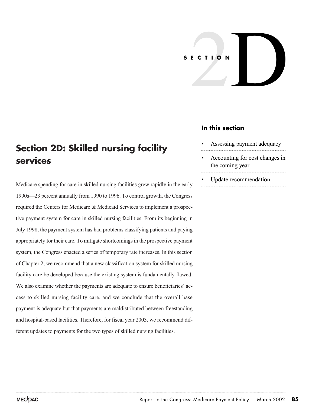# ECTION **SECTION**

## **In this section**

- Assessing payment adequacy
- Accounting for cost changes in the coming year
- Update recommendation

# **Section 2D: Skilled nursing facility services**

Medicare spending for care in skilled nursing facilities grew rapidly in the early 1990s—23 percent annually from 1990 to 1996. To control growth, the Congress required the Centers for Medicare & Medicaid Services to implement a prospective payment system for care in skilled nursing facilities. From its beginning in July 1998, the payment system has had problems classifying patients and paying appropriately for their care. To mitigate shortcomings in the prospective payment system, the Congress enacted a series of temporary rate increases. In this section of Chapter 2, we recommend that a new classification system for skilled nursing facility care be developed because the existing system is fundamentally flawed. We also examine whether the payments are adequate to ensure beneficiaries' access to skilled nursing facility care, and we conclude that the overall base payment is adequate but that payments are maldistributed between freestanding and hospital-based facilities. Therefore, for fiscal year 2003, we recommend different updates to payments for the two types of skilled nursing facilities.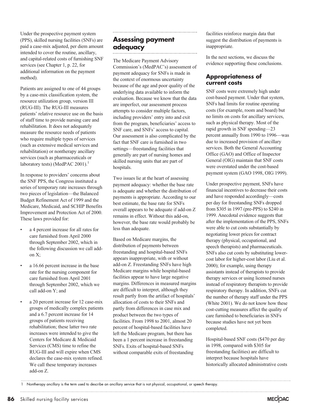Under the prospective payment system (PPS), skilled nursing facilities (SNFs) are paid a case-mix adjusted, per diem amount intended to cover the routine, ancillary, and capital-related costs of furnishing SNF services (see Chapter 1, p. 22, for additional information on the payment method).

Patients are assigned to one of 44 groups by a case-mix classification system, the resource utilization group, version III (RUG-III). The RUG-III measures patients' relative resource use on the basis of staff time to provide nursing care and rehabilitation. It does not adequately measure the resource needs of patients who require multiple types of services (such as extensive medical services and rehabilitation) or nontherapy ancillary services (such as pharmaceuticals or laboratory tests) (MedPAC 2001).<sup>1</sup>

In response to providers' concerns about the SNF PPS, the Congress instituted a series of temporary rate increases through two pieces of legislation—the Balanced Budget Refinement Act of 1999 and the Medicare, Medicaid, and SCHIP Benefits Improvement and Protection Act of 2000. These laws provided for:

- a 4 percent increase for all rates for care furnished from April 2000 through September 2002, which in the following discussion we call addon X;
- a 16.66 percent increase in the base rate for the nursing component for care furnished from April 2001 through September 2002, which we call add-on Y; and
- a 20 percent increase for 12 case-mix groups of medically complex patients and a 6.7 percent increase for 14 groups of patients receiving rehabilitation; these latter two rate increases were intended to give the Centers for Medicare & Medicaid Services (CMS) time to refine the RUG-III and will expire when CMS declares the case-mix system refined. We call these temporary increases add-on Z.

### **Assessing payment adequacy**

The Medicare Payment Advisory Commission's (MedPAC's) assessment of payment adequacy for SNFs is made in the context of enormous uncertainty because of the age and poor quality of the underlying data available to inform the evaluation. Because we know that the data are imperfect, our assessment process attempts to consider multiple factors, including providers' entry into and exit from the program, beneficiaries' access to SNF care, and SNFs' access to capital. Our assessment is also complicated by the fact that SNF care is furnished in two settings—freestanding facilities that generally are part of nursing homes and skilled nursing units that are part of hospitals.

Two issues lie at the heart of assessing payment adequacy: whether the base rate is adequate and whether the distribution of payments is appropriate. According to our best estimate, the base rate for SNFs overall appears to be adequate if add-on Z remains in effect. Without this add-on, however, the base rate would probably be less than adequate.

Based on Medicare margins, the distribution of payments between freestanding and hospital-based SNFs appears inappropriate, with or without add-on Z. Freestanding SNFs have high Medicare margins while hospital-based facilities appear to have large negative margins. Differences in measured margins are difficult to interpret, although they result partly from the artifact of hospitals' allocation of costs to their SNFs and partly from differences in case mix and product between the two types of facilities. From 1998 to 2001, almost 20 percent of hospital-based facilities have left the Medicare program, but there has been a 1 percent increase in freestanding SNFs. Exits of hospital-based SNFs without comparable exits of freestanding

facilities reinforce margin data that suggest the distribution of payments is inappropriate.

In the next sections, we discuss the evidence supporting these conclusions.

#### **Appropriateness of current costs**

SNF costs were extremely high under cost-based payment. Under that system, SNFs had limits for routine operating costs (for example, room and board) but no limits on costs for ancillary services, such as physical therapy. Most of the rapid growth in SNF spending—23 percent annually from 1990 to 1996—was due to increased provision of ancillary services. Both the General Accounting Office (GAO) and Office of Inspector General (OIG) maintain that SNF costs were overstated under the cost-based payment system (GAO 1998, OIG 1999).

Under prospective payment, SNFs have financial incentives to decrease their costs and have responded accordingly—costs per day for freestanding SNFs dropped from \$305 in 1997 (pre-PPS) to \$240 in 1999. Anecdotal evidence suggests that after the implementation of the PPS, SNFs were able to cut costs substantially by negotiating lower prices for contract therapy (physical, occupational, and speech therapists) and pharmaceuticals. SNFs also cut costs by substituting lowercost labor for higher-cost labor (Liu et al. 2000); for example, using therapy assistants instead of therapists to provide therapy services or using licensed nurses instead of respiratory therapists to provide respiratory therapy. In addition, SNFs cut the number of therapy staff under the PPS (White 2001). We do not know how these cost-cutting measures affect the quality of care furnished to beneficiaries in SNFs because studies have not yet been completed.

Hospital-based SNF costs (\$470 per day in 1998, compared with \$305 for freestanding facilities) are difficult to interpret because hospitals have historically allocated administrative costs

1 Nontherapy ancillary is the term used to describe an ancillary service that is not physical, occupational, or speech therapy.

**86** Skilled nursing facility services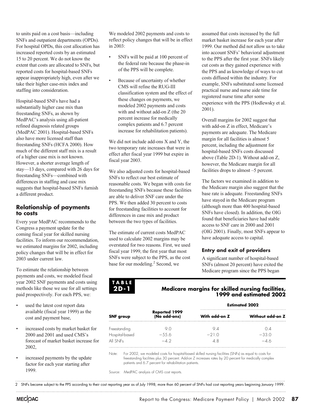to units paid on a cost basis—including SNFs and outpatient departments (OPDs). For hospital OPDs, this cost allocation has increased reported costs by an estimated 15 to 20 percent. We do not know the extent that costs are allocated to SNFs, but reported costs for hospital-based SNFs appear inappropriately high, even after we take their higher case-mix index and staffing into consideration.

Hospital-based SNFs have had a substantially higher case mix than freestanding SNFs, as shown by MedPAC's analysis using all-patient refined diagnosis related groups (MedPAC 2001). Hospital-based SNFs also have more licensed staff than freestanding SNFs (HCFA 2000). How much of the different staff mix is a result of a higher case mix is not known. However, a shorter average length of stay—13 days, compared with 26 days for freestanding SNFs—combined with differences in staffing and case mix suggests that hospital-based SNFs furnish a different product.

#### **Relationship of payments to costs**

Every year MedPAC recommends to the Congress a payment update for the coming fiscal year for skilled nursing facilities. To inform our recommendation, we estimated margins for 2002, including policy changes that will be in effect for 2003 under current law.

To estimate the relationship between payments and costs, we modeled fiscal year 2002 SNF payments and costs using methods like those we use for all settings paid prospectively. For each PPS, we:

- used the latest cost report data available (fiscal year 1999) as the cost and payment base,
- increased costs by market basket for 2000 and 2001 and used CMS's forecast of market basket increase for 2002,
- increased payments by the update factor for each year starting after 1999.

We modeled 2002 payments and costs to reflect policy changes that will be in effect in 2003:

- SNFs will be paid at 100 percent of the federal rate because the phase-in of the PPS will be complete.
- Because of uncertainty of whether CMS will refine the RUG-III classification system and the effect of these changes on payments, we modeled 2002 payments and costs with and without add-on Z (the 20 percent increase for medically complex patients and 6.7 percent increase for rehabilitation patients).

We did not include add-ons X and Y, the two temporary rate increases that were in effect after fiscal year 1999 but expire in fiscal year 2003.

We also adjusted costs for hospital-based SNFs to reflect our best estimate of reasonable costs. We began with costs for freestanding SNFs because these facilities are able to deliver SNF care under the PPS. We then added 30 percent to costs for freestanding facilities to account for differences in case mix and product between the two types of facilities.

The estimate of current costs MedPAC used to calculate 2002 margins may be overstated for two reasons. First, we used fiscal year 1999, the first year that most SNFs were subject to the PPS, as the cost base for our modeling.<sup>2</sup> Second, we

assumed that costs increased by the full market basket increase for each year after 1999. Our method did not allow us to take into account SNFs' behavioral adjustment to the PPS after the first year. SNFs likely cut costs as they gained experience with the PPS and as knowledge of ways to cut costs diffused within the industry. For example, SNFs substituted some licensed practical nurse and nurse aide time for registered nurse time after some experience with the PPS (Hodlewsky et al. 2001).

Overall margins for 2002 suggest that with add-on Z in effect, Medicare's payments are adequate. The Medicare margin for all facilities is almost 5 percent, including the adjustment for hospital-based SNFs costs discussed above (Table 2D-1). Without add-on Z, however, the Medicare margin for all facilities drops to almost –5 percent.

The factors we examined in addition to the Medicare margin also suggest that the base rate is adequate. Freestanding SNFs have stayed in the Medicare program (although more than 400 hospital-based SNFs have closed). In addition, the OIG found that beneficiaries have had stable access to SNF care in 2000 and 2001 (OIG 2001). Finally, most SNFs appear to have adequate access to capital.

#### **Entry and exit of providers**

A significant number of hospital-based SNFs (almost 20 percent) have exited the Medicare program since the PPS began

#### **TABLE 2D-1**

#### **Medicare margins for skilled nursing facilities, 1999 and estimated 2002**

|                | Reported 1999<br>(No add-ons) | <b>Estimated 2002</b> |                  |  |
|----------------|-------------------------------|-----------------------|------------------|--|
| SNF group      |                               | With add-on Z         | Without add-on Z |  |
| Freestanding   | 90                            | 94                    | () 4             |  |
| Hospital-based | $-55.6$                       | $-21.0$               | $-33.0$          |  |
| All SNFs       | $-42$                         | 48                    | $-46$            |  |
|                |                               |                       |                  |  |

Note: For 2002, we modeled costs for hospital-based skilled nursing facilities (SNFs) as equal to costs for freestanding facilities plus 30 percent. Add-on Z increases rates by 20 percent for medically complex patients and 6.7 percent for rehabilitation patients.

Source: MedPAC analysis of CMS cost reports.

2 SNFs became subject to the PPS according to their cost reporting year as of July 1998; more than 60 percent of SNFs had cost reporting years beginning January 1999.

#### MECOAC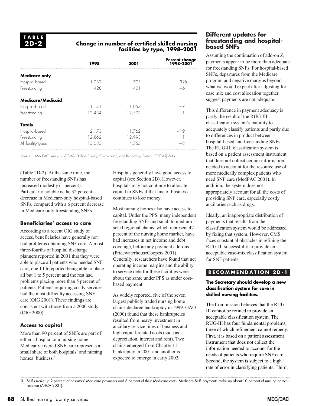#### **Change in number of certified skilled nursing facilities by type, 1998–2001**

|                          | 1998   | 2001   | Percent change<br>1998–2001 |
|--------------------------|--------|--------|-----------------------------|
| <b>Medicare only</b>     |        |        |                             |
| Hospital-based           | 1,032  | 70.5   | $-32%$                      |
| Freestanding             | 428    | 401    |                             |
| <b>Medicare/Medicaid</b> |        |        |                             |
| Hospital-based           | 1,141  | 1,057  |                             |
| Freestanding             | 12,434 | 12,592 |                             |
| Totals                   |        |        |                             |
| Hospital-based           | 2,173  | 1,762  | -19                         |
| Freestanding             | 12,862 | 12,993 |                             |
| All facility types       | 15,035 | 14,755 | -2                          |

Source: MedPAC analysis of CMS On-line Survey, Certification, and Recording System (OSCAR) data.

(Table 2D-2). At the same time, the number of freestanding SNFs has increased modestly (1 percent). Particularly notable is the 32 percent decrease in Medicare-only hospital-based SNFs, compared with a 6 percent decrease in Medicare-only freestanding SNFs.

#### **Beneficiaries' access to care**

According to a recent OIG study of access, beneficiaries have generally not had problems obtaining SNF care. Almost three-fourths of hospital discharge planners reported in 2001 that they were able to place all patients who needed SNF care; one-fifth reported being able to place all but 1 to 5 percent and the rest had problems placing more than 5 percent of patients. Patients requiring costly services had the most difficulty accessing SNF care (OIG 2001). These findings are consistent with those from a 2000 study (OIG 2000).

#### **Access to capital**

More than 90 percent of SNFs are part of either a hospital or a nursing home. Medicare-covered SNF care represents a small share of both hospitals' and nursing homes' business.<sup>3</sup>

Hospitals generally have good access to capital (see Section 2B). However, hospitals may not continue to allocate capital to SNFs if that line of business continues to lose money.

Most nursing homes also have access to capital. Under the PPS, many independent freestanding SNFs and small to mediumsized regional chains, which represent 47 percent of the nursing home market, have had increases in net income and debt coverage, before any payment add-ons (PricewaterhouseCoopers 2001). Generally, researchers have found that net operating income margins and the ability to service debt for these facilities were about the same under PPS as under costbased payment.

As widely reported, five of the seven largest publicly traded nursing home chains declared bankruptcy in 1999. GAO (2000) found that these bankruptcies resulted from heavy investment in ancillary service lines of business and high capital-related costs (such as depreciation, interest and rent). Two chains emerged from Chapter 11 bankruptcy in 2001 and another is expected to emerge in early 2002.

#### **Different updates for freestanding and hospitalbased SNFs**

Assuming the continuation of add-on Z, payments appear to be more than adequate for freestanding SNFs. For hospital-based SNFs, departures from the Medicare program and negative margins beyond what we would expect after adjusting for case mix and cost allocation together suggest payments are not adequate.

This difference in payment adequacy is partly the result of the RUG-III classification system's inability to adequately classify patients and partly due to differences in product between hospital-based and freestanding SNFs. The RUG-III classification system is based on a patient assessment instrument that does not collect certain information needed to account for the resource use of more medically complex patients who need SNF care (MedPAC 2001). In addition, the system does not appropriately account for all the costs of providing SNF care, especially costly ancillaries such as drugs.

Ideally, an inappropriate distribution of payments that results from the classification system would be addressed by fixing that system. However, CMS faces substantial obstacles in refining the RUG-III successfully to provide an acceptable case-mix classification system for SNF patients.

#### **RECOMMENDATION 2D-1**

#### **The Secretary should develop a new classification system for care in skilled nursing facilities.**

The Commission believes that the RUG-III cannot be refined to provide an acceptable classification system. The RUG-III has four fundamental problems, three of which refinement cannot remedy. First, it is based on a patient assessment instrument that does not collect the information needed to account for the needs of patients who require SNF care. Second, the system is subject to a high rate of error in classifying patients. Third,

<sup>3</sup> SNFs make up 2 percent of hospitals' Medicare payments and 3 percent of their Medicare costs. Medicare SNF payments make up about 10 percent of nursing homes' revenue (AHCA 2001).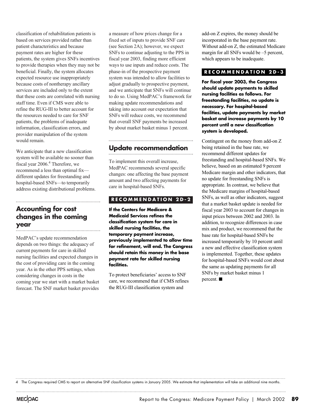classification of rehabilitation patients is based on services provided rather than patient characteristics and because payment rates are higher for these patients, the system gives SNFs incentives to provide therapies when they may not be beneficial. Finally, the system allocates expected resource use inappropriately because costs of nontherapy ancillary services are included only to the extent that these costs are correlated with nursing staff time. Even if CMS were able to refine the RUG-III to better account for the resources needed to care for SNF patients, the problems of inadequate information, classification errors, and provider manipulation of the system would remain.

We anticipate that a new classification system will be available no sooner than fiscal year 2006.<sup>4</sup> Therefore, we recommend a less than optimal fix different updates for freestanding and hospital-based SNFs—to temporarily address existing distributional problems.

#### **Accounting for cost changes in the coming year**

MedPAC's update recommendation depends on two things: the adequacy of current payments for care in skilled nursing facilities and expected changes in the cost of providing care in the coming year. As in the other PPS settings, when considering changes in costs in the coming year we start with a market basket forecast. The SNF market basket provides

a measure of how prices change for a fixed set of inputs to provide SNF care (see Section 2A); however, we expect SNFs to continue adjusting to the PPS in fiscal year 2003, finding more efficient ways to use inputs and reduce costs. The phase-in of the prospective payment system was intended to allow facilities to adjust gradually to prospective payment, and we anticipate that SNFs will continue to do so. Using MedPAC's framework for making update recommendations and taking into account our expectation that SNFs will reduce costs, we recommend that overall SNF payments be increased by about market basket minus 1 percent.

# **Update recommendation**

To implement this overall increase, MedPAC recommends several specific changes: one affecting the base payment amount and two affecting payments for care in hospital-based SNFs.

#### **RECOMMENDATION 2D-2**

**If the Centers for Medicare & Medicaid Services refines the classification system for care in skilled nursing facilities, the temporary payment increase, previously implemented to allow time for refinement, will end. The Congress should retain this money in the base payment rate for skilled nursing facilities.**

To protect beneficiaries' access to SNF care, we recommend that if CMS refines the RUG-III classification system and

add-on Z expires, the money should be incorporated in the base payment rate. Without add-on Z, the estimated Medicare margin for all SNFs would be –5 percent, which appears to be inadequate.

#### **RECOMMENDATION 2D-3**

**For fiscal year 2003, the Congress should update payments to skilled nursing facilities as follows. For freestanding facilities, no update is necessary. For hospital-based facilities, update payments by market basket and increase payments by 10 percent until a new classification system is developed.**

Contingent on the money from add-on Z being retained in the base rate, we recommend different updates for freestanding and hospital-based SNFs. We believe, based on an estimated 9 percent Medicare margin and other indicators, that no update for freestanding SNFs is appropriate. In contrast, we believe that the Medicare margins of hospital-based SNFs, as well as other indicators, suggest that a market basket update is needed for fiscal year 2003 to account for changes in input prices between 2002 and 2003. In addition, to recognize differences in case mix and product, we recommend that the base rate for hospital-based SNFs be increased temporarily by 10 percent until a new and effective classification system is implemented. Together, these updates for hospital-based SNFs would cost about the same as updating payments for all SNFs by market basket minus 1 percent.  $\blacksquare$ 

4 The Congress required CMS to report on alternative SNF classification systems in January 2005. We estimate that implementation will take an additional nine months.